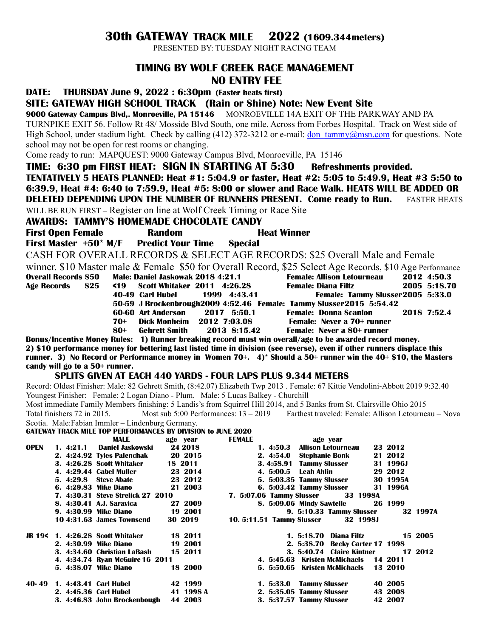## **30th GATEWAY TRACK MILE 2022 (1609.344meters)**

PRESENTED BY: TUESDAY NIGHT RACING TEAM

## **TIMING BY WOLF CREEK RACE MANAGEMENT NO ENTRY FEE**

**DATE: THURSDAY June 9, 2022 : 6:30pm (Faster heats first)**

**SITE: GATEWAY HIGH SCHOOL TRACK (Rain or Shine) Note: New Event Site**

**9000 Gateway Campus Blvd,. Monroeville, PA 15146** MONROEVILLE 14A EXIT OF THE PARKWAY AND PA TURNPIKE EXIT 56. Follow Rt 48/ Mosside Blvd South, one mile. Across from Forbes Hospital. Track on West side of High School, under stadium light. Check by calling (412) 372-3212 or e-mail: don  $\tanh(\omega)$ msn.com for questions. Note school may not be open for rest rooms or changing.

Come ready to run: MAPQUEST: 9000 Gateway Campus Blvd, Monroeville, PA 15146

**TIME: 6:30 pm FIRST HEAT: SIGN IN STARTING AT 5:30 Refreshments provided. TENTATIVELY 5 HEATS PLANNED: Heat #1: 5:04.9 or faster, Heat #2: 5:05 to 5:49.9, Heat #3 5:50 to 6:39.9, Heat #4: 6:40 to 7:59.9, Heat #5: 8:00 or slower and Race Walk. HEATS WILL BE ADDED OR DELETED DEPENDING UPON THE NUMBER OF RUNNERS PRESENT. Come ready to Run.** FASTER HEATS WILL BE RUN FIRST – Register on line at Wolf Creek Timing or Race Site

**AWARDS: TAMMY'S HOMEMADE CHOCOLATE CANDY**

**First Open Female 8 Random 8 Read Winner First Master +50\* M/F Predict Your Time Special** CASH FOR OVERALL RECORDS & SELECT AGE RECORDS: \$25 Overall Male and Female winner. \$10 Master male & Female \$50 for Overall Record, \$25 Select Age Records, \$10 Age Performance

| <b>Overall Records \$50</b> |     | Male: Daniel Jaskowak 2018 4:21.1                                    |              |                     | <b>Female: Allison Letourneau</b> | 2012 4:50.3  |
|-----------------------------|-----|----------------------------------------------------------------------|--------------|---------------------|-----------------------------------|--------------|
| Age Records \$25            |     | <b>&lt;19</b> Scott Whitaker 2011 4:26.28                            |              | Female: Diana Filtz |                                   | 2005 5:18.70 |
|                             |     | 40-49 Carl Hubel                                                     | 1999 4:43.41 |                     | Female: Tammy Slusser 2005 5:33.0 |              |
|                             |     | 50-59 J Brockenbrough2009 4:52.46 Female: Tammy Slusser 2015 5:54.42 |              |                     |                                   |              |
|                             |     | 60-60 Art Anderson 2017 5:50.1                                       |              |                     | Female: Donna Scanlon 2018 7:52.4 |              |
|                             | 70+ | Dick Monheim                                                         | 2012 7:03.08 |                     | Female: Never a 70+ runner        |              |
|                             | 80+ | Gehrett Smith                                                        | 2013 8:15.42 |                     | Female: Never a 80+ runner        |              |

**Bonus/Incentive Money Rules: 1) Runner breaking record must win overall/age to be awarded record money. 2) \$10 performance money for bettering last listed time in division (see reverse), even if other runners displace this runner. 3) No Record or Performance money in Women 70+. 4)\* Should a 50+ runner win the 40+ \$10, the Masters candy will go to a 50+ runner.** 

## **SPLITS GIVEN AT EACH 440 YARDS - FOUR LAPS PLUS 9.344 METERS**

Record: Oldest Finisher: Male: 82 Gehrett Smith, (8:42.07) Elizabeth Twp 2013 . Female: 67 Kittie Vendolini-Abbott 2019 9:32.40 Youngest Finisher: Female: 2 Logan Diano - Plum. Male: 5 Lucas Balkey - Churchill

Most immediate Family Members finishing: 5 Landis's from Squirrel Hill 2014, and 5 Banks from St. Clairsville Ohio 2015 Total finishers 72 in 2015. Most sub 5:00 Performances: 13 – 2019 Farthest traveled: Female: Allison Letourneau – Nova

Scotia. Male:Fabian Immler – Lindenburg Germany.

| GATEWAY TRACK MILE TOP PERFORMANCES BY DIVISION to JUNE 2020 |  |  |
|--------------------------------------------------------------|--|--|
|                                                              |  |  |

|             |                              | <b>MALE</b>                       | age vear  | <b>FEMALE</b>                    | age vear                           |          |          |
|-------------|------------------------------|-----------------------------------|-----------|----------------------------------|------------------------------------|----------|----------|
| <b>OPEN</b> | 1.4:21.1                     | <b>Daniel Jaskowski</b>           | 24 2018   | 1.4:50.3                         | <b>Allison Letourneau</b>          | 23 2012  |          |
|             |                              | 2. 4:24.92 Tyles Palenchak        | 20 2015   | 2.4:54.0                         | <b>Stephanie Bonk</b>              | 21 2012  |          |
|             |                              | 3. 4:26.28 Scott Whitaker         | 18 2011   | 3.4:58.91                        | <b>Tammy Slusser</b>               | 31 1996J |          |
|             |                              | 4. 4:29.44 Cabel Muller           | 23 2014   | 4. 5:00.5                        | Leah Ahlin                         | 29 2012  |          |
|             | 5.4:29.8                     | <b>Steve Abate</b>                | 23 2012   |                                  | 5. 5:03.35 Tammy Slusser           | 30 1995A |          |
|             |                              | 6. 4:29.83 Mike Diano             | 21 2003   |                                  | 6. 5:03.42 Tammy Slusser           | 31 1996A |          |
|             |                              | 7. 4:30.31 Steve Strelick 27 2010 |           | 7. 5:07.06 Tammy Slusser         | 33 1998A                           |          |          |
|             |                              | 8. 4:30.41 A.J. Saravica          | 27 2009   |                                  | 8. 5:09.06 Mindy Sawtelle          | 26 1999  |          |
|             |                              | 9. 4:30.99 Mike Diano             | 19 2001   |                                  | 9. 5:10.33 Tammy Slusser           |          | 32 1997A |
|             |                              | 10 4:31.63 James Townsend         | 30 2019   | <b>10. 5:11.51 Tammy Slusser</b> | 32 1998J                           |          |          |
| JR 19<      |                              | 1. 4:26.28 Scott Whitaker         | 18 2011   |                                  | Diana Filtz<br>1.5:18.70           |          | 15 2005  |
|             |                              | 2. 4:30.99 Mike Diano             | 19 2001   |                                  | Becky Carter 17 1998<br>2. 5:38.70 |          |          |
|             |                              | 3. 4:34.60 Christian LaBash       | 15 2011   |                                  | 3. 5:40.74 Claire Kintner          |          | 17 2012  |
|             |                              | 4. 4:34.74 Ryan McGuire 16 2011   |           |                                  | 4. 5:45.63 Kristen McMichaels      | 14 2011  |          |
|             |                              | 5. 4:38.07 Mike Diano             | 18 2000   | 5. 5:50.65                       | Kristen McMichaels                 | 13 2010  |          |
| 40-49       | <b>1. 4:43.41 Carl Hubel</b> |                                   | 42 1999   | 1.5:33.0                         | <b>Tammy Slusser</b>               | 40 2005  |          |
|             | 2. 4:45.36 Carl Hubel        |                                   | 41 1998 A |                                  | 2. 5:35.05 Tammy Slusser           | 43 2008  |          |
|             |                              | 3. 4:46.83 John Brockenbough      | 44 2003   |                                  | 3. 5:37.57 Tammy Slusser           | 42 2007  |          |